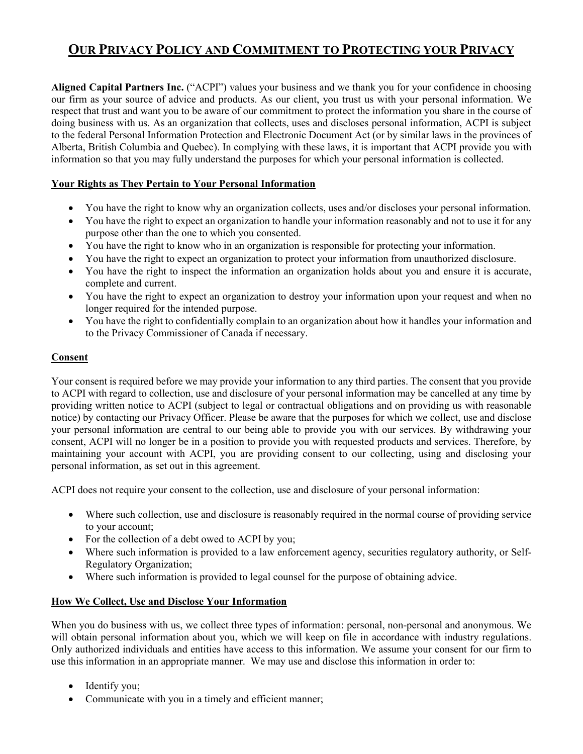# **OUR PRIVACY POLICY AND COMMITMENT TO PROTECTING YOUR PRIVACY**

**Aligned Capital Partners Inc.** ("ACPI") values your business and we thank you for your confidence in choosing our firm as your source of advice and products. As our client, you trust us with your personal information. We respect that trust and want you to be aware of our commitment to protect the information you share in the course of doing business with us. As an organization that collects, uses and discloses personal information, ACPI is subject to the federal Personal Information Protection and Electronic Document Act (or by similar laws in the provinces of Alberta, British Columbia and Quebec). In complying with these laws, it is important that ACPI provide you with information so that you may fully understand the purposes for which your personal information is collected.

## **Your Rights as They Pertain to Your Personal Information**

- You have the right to know why an organization collects, uses and/or discloses your personal information.
- You have the right to expect an organization to handle your information reasonably and not to use it for any purpose other than the one to which you consented.
- You have the right to know who in an organization is responsible for protecting your information.
- You have the right to expect an organization to protect your information from unauthorized disclosure.
- You have the right to inspect the information an organization holds about you and ensure it is accurate, complete and current.
- You have the right to expect an organization to destroy your information upon your request and when no longer required for the intended purpose.
- You have the right to confidentially complain to an organization about how it handles your information and to the Privacy Commissioner of Canada if necessary.

## **Consent**

Your consent is required before we may provide your information to any third parties. The consent that you provide to ACPI with regard to collection, use and disclosure of your personal information may be cancelled at any time by providing written notice to ACPI (subject to legal or contractual obligations and on providing us with reasonable notice) by contacting our Privacy Officer. Please be aware that the purposes for which we collect, use and disclose your personal information are central to our being able to provide you with our services. By withdrawing your consent, ACPI will no longer be in a position to provide you with requested products and services. Therefore, by maintaining your account with ACPI, you are providing consent to our collecting, using and disclosing your personal information, as set out in this agreement.

ACPI does not require your consent to the collection, use and disclosure of your personal information:

- Where such collection, use and disclosure is reasonably required in the normal course of providing service to your account;
- For the collection of a debt owed to ACPI by you;
- Where such information is provided to a law enforcement agency, securities regulatory authority, or Self-Regulatory Organization;
- Where such information is provided to legal counsel for the purpose of obtaining advice.

#### **How We Collect, Use and Disclose Your Information**

When you do business with us, we collect three types of information: personal, non-personal and anonymous. We will obtain personal information about you, which we will keep on file in accordance with industry regulations. Only authorized individuals and entities have access to this information. We assume your consent for our firm to use this information in an appropriate manner. We may use and disclose this information in order to:

- Identify you;
- Communicate with you in a timely and efficient manner;